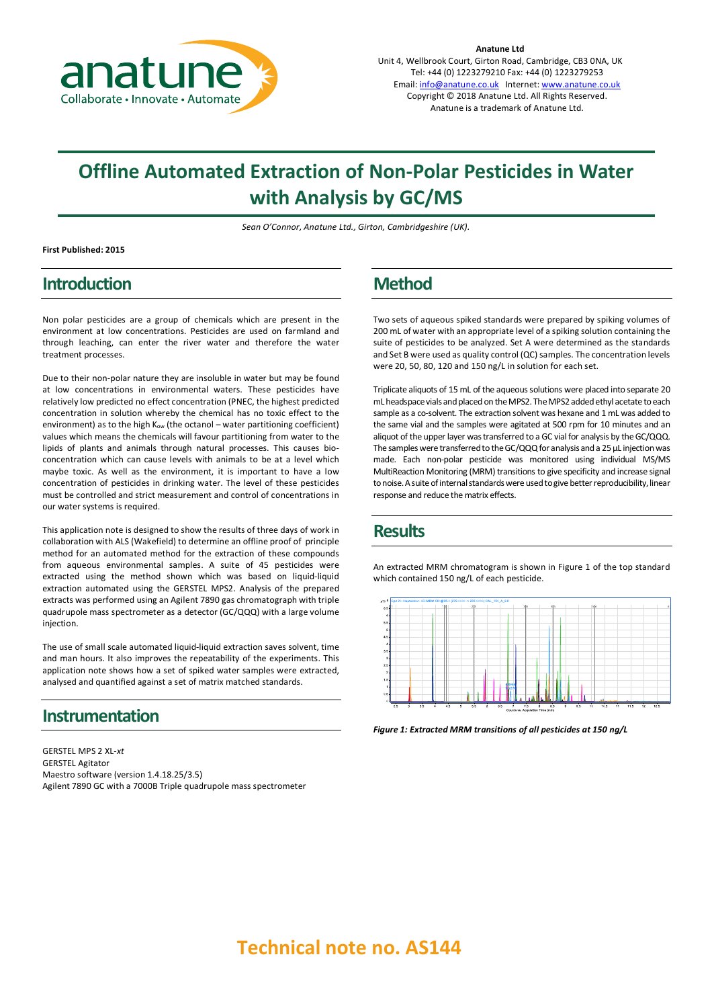

**Anatune Ltd** Unit 4, Wellbrook Court, Girton Road, Cambridge, CB3 0NA, UK Tel: +44 (0) 1223279210 Fax: +44 (0) 1223279253 Email: info@anatune.co.uk Internet: www.anatune.co.uk Copyright © 2018 Anatune Ltd. All Rights Reserved. Anatune is a trademark of Anatune Ltd.

# **Offline Automated Extraction of Non-Polar Pesticides in Water with Analysis by GC/MS**

*Sean O'Connor, Anatune Ltd., Girton, Cambridgeshire (UK).*

**First Published: 2015**

## **Introduction**

Non polar pesticides are a group of chemicals which are present in the environment at low concentrations. Pesticides are used on farmland and through leaching, can enter the river water and therefore the water treatment processes.

Due to their non-polar nature they are insoluble in water but may be found at low concentrations in environmental waters. These pesticides have relatively low predicted no effect concentration (PNEC, the highest predicted concentration in solution whereby the chemical has no toxic effect to the environment) as to the high  $K_{ow}$  (the octanol – water partitioning coefficient) values which means the chemicals will favour partitioning from water to the lipids of plants and animals through natural processes. This causes bioconcentration which can cause levels with animals to be at a level which maybe toxic. As well as the environment, it is important to have a low concentration of pesticides in drinking water. The level of these pesticides must be controlled and strict measurement and control of concentrations in our water systems is required.

This application note is designed to show the results of three days of work in collaboration with ALS (Wakefield) to determine an offline proof of principle method for an automated method for the extraction of these compounds from aqueous environmental samples. A suite of 45 pesticides were extracted using the method shown which was based on liquid-liquid extraction automated using the GERSTEL MPS2. Analysis of the prepared extracts was performed using an Agilent 7890 gas chromatograph with triple quadrupole mass spectrometer as a detector (GC/QQQ) with a large volume injection.

The use of small scale automated liquid-liquid extraction saves solvent, time and man hours. It also improves the repeatability of the experiments. This application note shows how a set of spiked water samples were extracted, analysed and quantified against a set of matrix matched standards.

### **Instrumentation**

GERSTEL MPS 2 XL*-xt* GERSTEL Agitator Maestro software (version 1.4.18.25/3.5) Agilent 7890 GC with a 7000B Triple quadrupole mass spectrometer

# **Method**

Two sets of aqueous spiked standards were prepared by spiking volumes of 200 mL of water with an appropriate level of a spiking solution containing the suite of pesticides to be analyzed. Set A were determined as the standards and Set B were used as quality control (QC) samples. The concentration levels were 20, 50, 80, 120 and 150 ng/L in solution for each set.

Triplicate aliquots of 15 mL of the aqueous solutions were placed into separate 20 mL headspace vials and placed on the MPS2. The MPS2 added ethyl acetate to each sample as a co-solvent. The extraction solvent was hexane and 1 mL was added to the same vial and the samples were agitated at 500 rpm for 10 minutes and an aliquot of the upper layer was transferred to a GC vial for analysis by the GC/QQQ. The samples were transferred to the GC/QQQ for analysis and a 25 µL injection was made. Each non-polar pesticide was monitored using individual MS/MS MultiReaction Monitoring (MRM) transitions to give specificity and increase signal to noise. A suite of internal standards were used to give better reproducibility, linear response and reduce the matrix effects.

## **Results**

An extracted MRM chromatogram is shown in Figure 1 of the top standard which contained 150 ng/L of each pesticide.



*Figure 1: Extracted MRM transitions of all pesticides at 150 ng/L*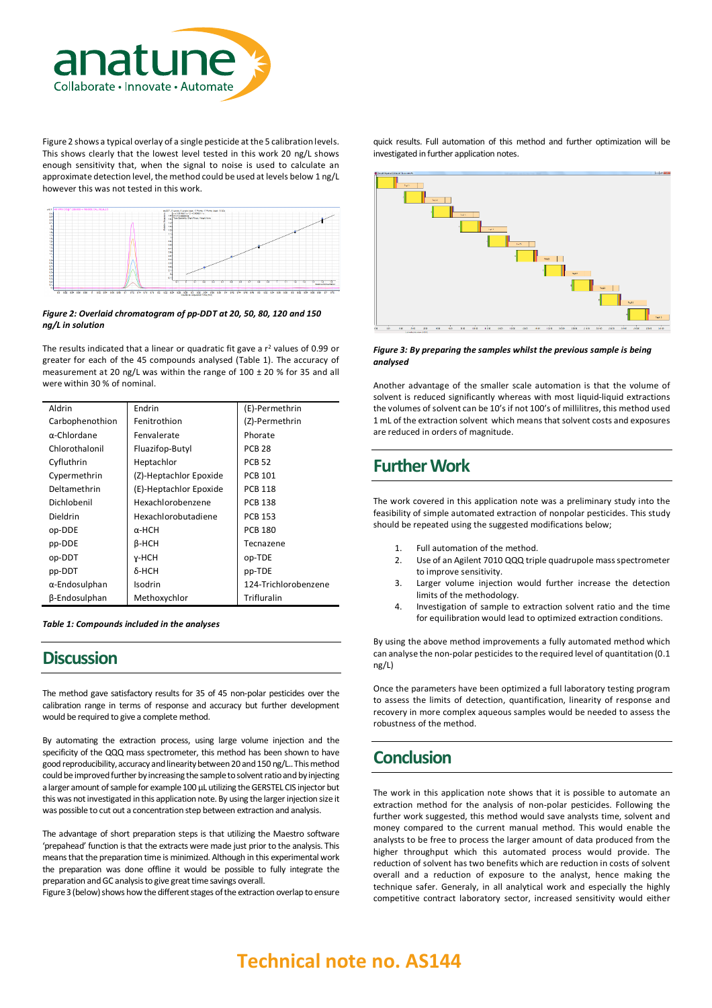

Figure 2 shows a typical overlay of a single pesticide at the 5 calibration levels. This shows clearly that the lowest level tested in this work 20 ng/L shows enough sensitivity that, when the signal to noise is used to calculate an approximate detection level, the method could be used at levels below 1 ng/L however this was not tested in this work.



#### *Figure 2: Overlaid chromatogram of pp-DDT at 20, 50, 80, 120 and 150 ng/L in solution*

The results indicated that a linear or quadratic fit gave a  $r^2$  values of 0.99 or greater for each of the 45 compounds analysed (Table 1). The accuracy of measurement at 20 ng/L was within the range of 100 ± 20 % for 35 and all were within 30 % of nominal.

| Aldrin              | Endrin                 | (E)-Permethrin       |
|---------------------|------------------------|----------------------|
| Carbophenothion     | Fenitrothion           | (Z)-Permethrin       |
| $\alpha$ -Chlordane | Fenvalerate            | Phorate              |
| Chlorothalonil      | Fluazifop-Butyl        | <b>PCB 28</b>        |
| Cyfluthrin          | Heptachlor             | <b>PCB 52</b>        |
| Cypermethrin        | (Z)-Heptachlor Epoxide | <b>PCB 101</b>       |
| Deltamethrin        | (E)-Heptachlor Epoxide | <b>PCB 118</b>       |
| Dichlobenil         | Hexachlorobenzene      | <b>PCB 138</b>       |
| Dieldrin            | Hexachlorobutadiene    | <b>PCB 153</b>       |
| op-DDE              | α-HCH                  | <b>PCB 180</b>       |
| pp-DDE              | β-НCН                  | Tecnazene            |
| op-DDT              | y-HCH                  | op-TDE               |
| pp-DDT              | δ-HCH                  | pp-TDE               |
| α-Endosulphan       | Isodrin                | 124-Trichlorobenzene |
| β-Endosulphan       | Methoxychlor           | Trifluralin          |

*Table 1: Compounds included in the analyses*

### **Discussion**

The method gave satisfactory results for 35 of 45 non-polar pesticides over the calibration range in terms of response and accuracy but further development would be required to give a complete method.

By automating the extraction process, using large volume injection and the specificity of the QQQ mass spectrometer, this method has been shown to have good reproducibility, accuracy and linearity between 20 and 150 ng/L.. This method could be improved further by increasing the sample to solvent ratio and by injecting a larger amount of sample for example 100 µL utilizing the GERSTEL CIS injector but this was not investigated in this application note. By using the larger injection size it was possible to cut out a concentration step between extraction and analysis.

The advantage of short preparation steps is that utilizing the Maestro software 'prepahead' function is that the extracts were made just prior to the analysis. This means that the preparation time is minimized. Although in this experimental work the preparation was done offline it would be possible to fully integrate the preparation and GC analysis to give great time savings overall.

Figure 3 (below) shows how the different stages of the extraction overlap to ensure

quick results. Full automation of this method and further optimization will be investigated in further application notes.



#### *Figure 3: By preparing the samples whilst the previous sample is being analysed*

Another advantage of the smaller scale automation is that the volume of solvent is reduced significantly whereas with most liquid-liquid extractions the volumes of solvent can be 10's if not 100's of millilitres, this method used 1 mL of the extraction solvent which means that solvent costs and exposures are reduced in orders of magnitude.

## **Further Work**

The work covered in this application note was a preliminary study into the feasibility of simple automated extraction of nonpolar pesticides. This study should be repeated using the suggested modifications below;

- 1. Full automation of the method.
- 2. Use of an Agilent 7010 QQQ triple quadrupole mass spectrometer to improve sensitivity.
- 3. Larger volume injection would further increase the detection limits of the methodology.
- 4. Investigation of sample to extraction solvent ratio and the time for equilibration would lead to optimized extraction conditions.

By using the above method improvements a fully automated method which can analyse the non-polar pesticides to the required level of quantitation (0.1 ng/L)

Once the parameters have been optimized a full laboratory testing program to assess the limits of detection, quantification, linearity of response and recovery in more complex aqueous samples would be needed to assess the robustness of the method.

# **Conclusion**

The work in this application note shows that it is possible to automate an extraction method for the analysis of non-polar pesticides. Following the further work suggested, this method would save analysts time, solvent and money compared to the current manual method. This would enable the analysts to be free to process the larger amount of data produced from the higher throughput which this automated process would provide. The reduction of solvent has two benefits which are reduction in costs of solvent overall and a reduction of exposure to the analyst, hence making the technique safer. Generaly, in all analytical work and especially the highly competitive contract laboratory sector, increased sensitivity would either

# **Technical note no. AS144**